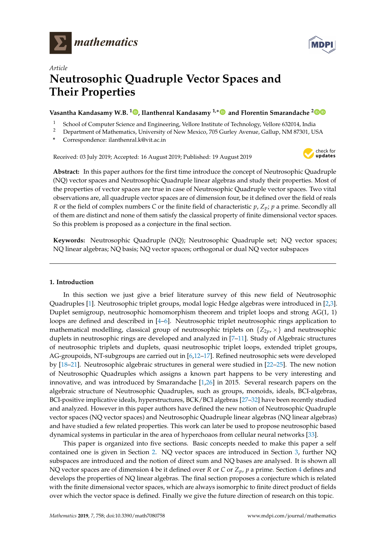



# *Article* **Neutrosophic Quadruple Vector Spaces and Their Properties**

## **Vasantha Kandasamy W.B. [1](https://orcid.org/0000-0001-9832-1475) , Ilanthenral Kandasamy 1,**[∗](https://orcid.org/0000-0003-4826-9466) **and Florentin Smarandache [2](https://orcid.org/0000-0002-5560-5926)**

- <sup>1</sup> School of Computer Science and Engineering, Vellore Institute of Technology, Vellore 632014, India
- <sup>2</sup> Department of Mathematics, University of New Mexico, 705 Gurley Avenue, Gallup, NM 87301, USA
- **\*** Correspondence: ilanthenral.k@vit.ac.in

Received: 03 July 2019; Accepted: 16 August 2019; Published: 19 August 2019



**Abstract:** In this paper authors for the first time introduce the concept of Neutrosophic Quadruple (NQ) vector spaces and Neutrosophic Quadruple linear algebras and study their properties. Most of the properties of vector spaces are true in case of Neutrosophic Quadruple vector spaces. Two vital observations are, all quadruple vector spaces are of dimension four, be it defined over the field of reals *R* or the field of complex numbers *C* or the finite field of characteristic *p*, *Zp*; *p* a prime. Secondly all of them are distinct and none of them satisfy the classical property of finite dimensional vector spaces. So this problem is proposed as a conjecture in the final section.

**Keywords:** Neutrosophic Quadruple (NQ); Neutrosophic Quadruple set; NQ vector spaces; NQ linear algebras; NQ basis; NQ vector spaces; orthogonal or dual NQ vector subspaces

## **1. Introduction**

In this section we just give a brief literature survey of this new field of Neutrosophic Quadruples [\[1\]](#page-6-0). Neutrosophic triplet groups, modal logic Hedge algebras were introduced in [\[2,](#page-6-1)[3\]](#page-6-2). Duplet semigroup, neutrosophic homomorphism theorem and triplet loops and strong AG(1, 1) loops are defined and described in [\[4](#page-6-3)[–6\]](#page-6-4). Neutrosophic triplet neutrosophic rings application to mathematical modelling, classical group of neutrosophic triplets on  $\{Z_{2p},\times\}$  and neutrosophic duplets in neutrosophic rings are developed and analyzed in [\[7](#page-6-5)[–11\]](#page-6-6). Study of Algebraic structures of neutrosophic triplets and duplets, quasi neutrosophic triplet loops, extended triplet groups, AG-groupoids, NT-subgroups are carried out in [\[6](#page-6-4)[,12](#page-6-7)[–17\]](#page-7-0). Refined neutrosophic sets were developed by [\[18](#page-7-1)[–21\]](#page-7-2). Neutrosophic algebraic structures in general were studied in [\[22–](#page-7-3)[25\]](#page-7-4). The new notion of Neutrosophic Quadruples which assigns a known part happens to be very interesting and innovative, and was introduced by Smarandache [\[1](#page-6-0)[,26\]](#page-7-5) in 2015. Several research papers on the algebraic structure of Neutrosophic Quadruples, such as groups, monoids, ideals, BCI-algebras, BCI-positive implicative ideals, hyperstructures, BCK/BCI algebras [\[27–](#page-7-6)[32\]](#page-7-7) have been recently studied and analyzed. However in this paper authors have defined the new notion of Neutrosophic Quadruple vector spaces (NQ vector spaces) and Neutrosophic Quadruple linear algebras (NQ linear algebras) and have studied a few related properties. This work can later be used to propose neutrosophic based dynamical systems in particular in the area of hyperchoaos from cellular neural networks [\[33\]](#page-7-8).

This paper is organized into five sections. Basic concepts needed to make this paper a self contained one is given in Section [2.](#page-1-0) NQ vector spaces are introduced in Section [3,](#page-2-0) further NQ subspaces are introduced and the notion of direct sum and NQ bases are analysed. It is shown all NQ vector spaces are of dimension 4 be it defined over *R* or *C* or *Zp*, *p* a prime. Section [4](#page-5-0) defines and develops the properties of NQ linear algebras. The final section proposes a conjecture which is related with the finite dimensional vector spaces, which are always isomorphic to finite direct product of fields over which the vector space is defined. Finally we give the future direction of research on this topic.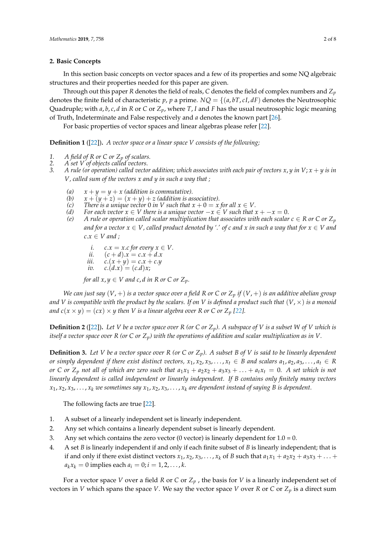### <span id="page-1-0"></span>**2. Basic Concepts**

In this section basic concepts on vector spaces and a few of its properties and some NQ algebraic structures and their properties needed for this paper are given.

Through out this paper *R* denotes the field of reals, *C* denotes the field of complex numbers and *Z<sup>p</sup>* denotes the finite field of characteristic  $p$ ,  $p$  a prime.  $NQ = \{(a, bT, cI, dF)$  denotes the Neutrosophic Quadruple; with *a*, *b*, *c*, *d* in *R* or *C* or *Zp*, where *T*, *I* and *F* has the usual neutrosophic logic meaning of Truth, Indeterminate and False respectively and *a* denotes the known part [\[26\]](#page-7-5).

For basic properties of vector spaces and linear algebras please refer [\[22\]](#page-7-3).

<span id="page-1-1"></span>**Definition 1** ([\[22\]](#page-7-3))**.** *A vector space or a linear space V consists of the following;*

- *1. A field of R or C or Z<sup>p</sup> of scalars.*
- *2. A set V of objects called vectors.*
- *A* rule (or operation) called vector addition; which associates with each pair of vectors  $x, y$  in  $V; x + y$  is in *V, called sum of the vectors x and y in such a way that ;*
	- (a)  $x + y = y + x$  (addition is commutative).<br>
	(b)  $x + (y + z) = (x + y) + z$  (addition is as
	- $(x + (y + z) = (x + y) + z$  (addition is associative).
	- *(c) There is a unique vector* 0 *in V such that*  $x + 0 = x$  *for all*  $x \in V$ .<br>*(d)* For each vector  $x \in V$  there is a unique vector  $-x \in V$  such that *z*
	- *For each vector*  $x \in V$  *there is a unique vector*  $-x \in V$  *such that*  $x + -x = 0$ .
	- *(e) A rule or operation called scalar multiplication that associates with each scalar*  $c \in R$  *or*  $C$  *or*  $Z_p$ *and for a vector*  $x \in V$ , called product denoted by '.' of c and x in such a way that for  $x \in V$  and  $c.x \in V$  and ;
		-
		- *i.*  $c.x = x.c$  for every  $x \in V$ .<br>*ii.*  $(c+d).x = c.x + d.x$  $(c+d).x = c.x + d.x$
		- *iii.*  $c.(x + y) = c.x + c.y$
		- *iv.*  $c.(d.x) = (c.d)x;$

*for all*  $x, y \in V$  *and c, d in* R *or* C *or*  $Z_p$ *.* 

*We can just say*  $(V, +)$  *is a vector space over a field R or C or*  $Z_p$  *if*  $(V, +)$  *is an additive abelian group* and V is compatible with the product by the scalars. If on V is defined a product such that  $(V, \times)$  is a monoid *and*  $c(x \times y) = (cx) \times y$  then *V* is a linear algebra over *R* or *C* or  $Z_p$  [\[22\]](#page-7-3).

**Definition 2** ([\[22\]](#page-7-3)). Let V be a vector space over R (or C or  $Z_p$ ). A subspace of V is a subset W of V which is *itself a vector space over R (or C or Zp) with the operations of addition and scalar multiplication as in V.*

**Definition 3.** *Let V be a vector space over R (or C or Zp). A subset B of V is said to be linearly dependent or simply dependent if there exist distinct vectors,*  $x_1, x_2, x_3, \ldots, x_t \in B$  *and scalars*  $a_1, a_2, a_3, \ldots, a_t \in R$ *or C or*  $Z_p$  *not all of which are zero such that*  $a_1x_1 + a_2x_2 + a_3x_3 + \ldots + a_tx_t = 0$ . A set which is not *linearly dependent is called independent or linearly independent. If B contains only finitely many vectors*  $x_1, x_2, x_3, \ldots, x_k$  we sometimes say  $x_1, x_2, x_3, \ldots, x_k$  are dependent instead of saying B is dependent.

The following facts are true [\[22\]](#page-7-3).

- 1. A subset of a linearly independent set is linearly independent.
- 2. Any set which contains a linearly dependent subset is linearly dependent.
- 3. Any set which contains the zero vector (0 vector) is linearly dependent for  $1.0 = 0$ .
- 4. A set *B* is linearly independent if and only if each finite subset of *B* is linearly independent; that is if and only if there exist distinct vectors  $x_1, x_2, x_3, \ldots, x_k$  of *B* such that  $a_1x_1 + a_2x_2 + a_3x_3 + \ldots$  $a_k x_k = 0$  implies each  $a_i = 0; i = 1, 2, ..., k$ .

For a vector space *V* over a field *R* or *C* or *Z<sup>p</sup>* , the basis for *V* is a linearly independent set of vectors in *V* which spans the space *V*. We say the vector space *V* over *R* or *C* or *Z<sup>p</sup>* is a direct sum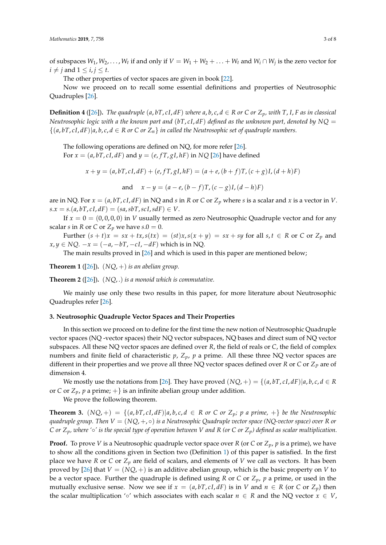of subspaces  $W_1, W_2, \ldots, W_t$  if and only if  $V = W_1 + W_2 + \ldots + W_t$  and  $W_i \cap W_j$  is the zero vector for  $i \neq j$  and  $1 \leq i, j \leq t$ .

The other properties of vector spaces are given in book [\[22\]](#page-7-3).

Now we proceed on to recall some essential definitions and properties of Neutrosophic Quadruples [\[26\]](#page-7-5).

**Definition 4** ([\[26\]](#page-7-5)). The quadruple  $(a, bT, cI, dF)$  where  $a, b, c, d \in R$  or C or  $Z_p$ , with T, I, F as in classical *Neutrosophic logic with a the known part and* (*bT*, *cI*, *dF*) *defined as the unknown part, denoted by NQ* =  $\{(a, bT, cI, dF)|a, b, c, d \in R \text{ or } C \text{ or } Z_n\}$  *in called the Neutrosophic set of quadruple numbers.* 

The following operations are defined on NQ, for more refer [\[26\]](#page-7-5). For  $x = (a, bT, cI, dF)$  and  $y = (e, fT, gI, hF)$  in NQ [\[26\]](#page-7-5) have defined

$$
x + y = (a, bT, cI, dF) + (e, fT, gI, hF) = (a + e, (b + f)T, (c + g)I, (d + h)F)
$$

and 
$$
x - y = (a - e, (b - f)T, (c - g)I, (d - h)F)
$$

are in NQ. For  $x = (a, bT, cI, dF)$  in NQ and *s* in *R* or *C* or  $Z_p$  where *s* is a scalar and *x* is a vector in *V*.  $s.x = s.(a, bT, cI, dF) = (sa, sbT, scI, sdF) \in V$ .

If  $x = 0 = (0, 0, 0, 0)$  in *V* usually termed as zero Neutrosophic Quadruple vector and for any scalar *s* in *R* or *C* or  $Z_p$  we have *s*. $0 = 0$ .

Further  $(s + t)x = sx + tx, s(tx) = (st)x, s(x + y) = sx + sy$  for all  $s, t \in R$  or C or  $Z_p$  and  $x, y \in NQ$ .  $-x = (-a, -bT, -cI, -dF)$  which is in NQ.

The main results proved in [\[26\]](#page-7-5) and which is used in this paper are mentioned below;

**Theorem 1** ([\[26\]](#page-7-5)).  $(NQ, +)$  *is an abelian group.* 

**Theorem 2** ([\[26\]](#page-7-5))**.** (*NQ*, .) *is a monoid which is commutative.*

We mainly use only these two results in this paper, for more literature about Neutrosophic Quadruples refer [\[26\]](#page-7-5).

#### <span id="page-2-0"></span>**3. Neutrosophic Quadruple Vector Spaces and Their Properties**

In this section we proceed on to define for the first time the new notion of Neutrosophic Quadruple vector spaces (NQ -vector spaces) their NQ vector subspaces, NQ bases and direct sum of NQ vector subspaces. All these NQ vector spaces are defined over *R*, the field of reals or *C*, the field of complex numbers and finite field of characteristic *p*, *Zp*, *p* a prime. All these three NQ vector spaces are different in their properties and we prove all three NQ vector spaces defined over *R* or *C* or *Z<sup>P</sup>* are of dimension 4.

We mostly use the notations from [\[26\]](#page-7-5). They have proved  $(NQ,+) = \{(a,bT, cI, dF) | a, b, c, d \in R$ or *C* or  $Z_p$ , *p* a prime;  $+$ } is an infinite abelian group under addition.

We prove the following theorem.

<span id="page-2-1"></span>**Theorem 3.**  $(NQ,+) = \{(a,bT, cI, dF) | a,b,c,d \in R \text{ or } C \text{ or } Z_p; p \text{ a prime, } +\}$  be the Neutrosophic *quadruple group. Then V* = (*NQ*, +, ◦) *is a Neutrosophic Quadruple vector space (NQ-vector space) over R or C or Zp, where '*◦*' is the special type of operation between V and R (or C or Zp) defined as scalar multiplication.*

**Proof.** To prove *V* is a Neutrosophic quadruple vector space over *R* (or *C* or  $Z_p$ , *p* is a prime), we have to show all the conditions given in Section two (Definition [1\)](#page-1-1) of this paper is satisfied. In the first place we have *R* or *C* or *Z<sup>p</sup>* are field of scalars, and elements of *V* we call as vectors. It has been proved by [\[26\]](#page-7-5) that  $V = (NQ, +)$  is an additive abelian group, which is the basic property on *V* to be a vector space. Further the quadruple is defined using *R* or *C* or *Zp*, *p* a prime, or used in the mutually exclusive sense. Now we see if  $x = (a, bT, cI, dF)$  is in *V* and  $n \in R$  (or *C* or  $Z_p$ ) then the scalar multiplication '◦' which associates with each scalar  $n \in R$  and the NQ vector  $x \in V$ ,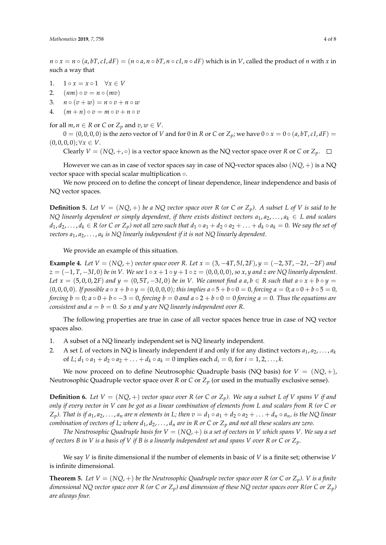$n \circ x = n \circ (a, bT, cI, dF) = (n \circ a, n \circ bT, n \circ cI, n \circ dF)$  which is in V, called the product of n with x in such a way that

- 1.  $1 \circ x = x \circ 1 \quad \forall x \in V$
- 2.  $(nm) \circ v = n \circ (mv)$
- 3.  $n \circ (v + w) = n \circ v + n \circ w$
- 4.  $(m+n) \circ v = m \circ v + n \circ v$

for all  $m, n \in R$  or  $C$  or  $Z_p$  and  $v, w \in V$ .

 $0 = (0, 0, 0, 0)$  is the zero vector of *V* and for 0 in *R* or *C* or  $Z_p$ ; we have  $0 \circ x = 0 \circ (a, bT, cI, dF) =$  $(0, 0, 0, 0); \forall x \in V.$ 

Clearly  $V = (NQ, +, \circ)$  is a vector space known as the NQ vector space over *R* or *C* or  $Z_p$ .  $\square$ 

However we can as in case of vector spaces say in case of NQ-vector spaces also (*NQ*, +) is a NQ vector space with special scalar multiplication ◦.

We now proceed on to define the concept of linear dependence, linear independence and basis of NQ vector spaces.

**Definition 5.** Let  $V = (NQ, +)$  be a NQ vector space over R (or C or  $Z_p$ ). A subset L of V is said to be *NQ linearly dependent or simply dependent, if there exists distinct vectors*  $a_1, a_2, \ldots, a_k \in L$  and scalars  $d_1, d_2, \ldots, d_k \in R$  (or C or  $Z_p$ ) not all zero such that  $d_1 \circ a_1 + d_2 \circ a_2 + \ldots + d_k \circ a_k = 0$ . We say the set of *vectors a*1, *a*2, . . . , *a<sup>k</sup> is NQ linearly independent if it is not NQ linearly dependent.*

We provide an example of this situation.

**Example 4.** Let  $V = (NQ, +)$  vector space over R. Let  $x = (3, -4T, 5I, 2F)$ ,  $y = (-2, 3T, -2I, -2F)$  and *z* = (−1, *T*, −3*I*, 0) *be in V. We see* 1 ◦ *x* + 1 ◦ *y* + 1 ◦ *z* = (0, 0, 0, 0), *so x*, *y and z are NQ linearly dependent.* Let  $x = (5,0,0,2F)$  and  $y = (0,5T,-3I,0)$  be in V. We cannot find a a,  $b \in R$  such that  $a \circ x + b \circ y =$  $(0, 0, 0, 0)$ *. If possible*  $a \circ x + b \circ y = (0, 0, 0, 0)$ ; this implies  $a \circ 5 + b \circ 0 = 0$ , forcing  $a = 0$ ;  $a \circ 0 + b \circ 5 = 0$ , *forcing*  $b = 0$ ;  $a \circ 0 + b \circ -3 = 0$ , *forcing*  $b = 0$  *and*  $a \circ 2 + b \circ 0 = 0$  *forcing*  $a = 0$ . Thus the equations are *consistent and*  $a = b = 0$ *. So x and y are NQ linearly independent over R.* 

The following properties are true in case of all vector spaces hence true in case of NQ vector spaces also.

- 1. A subset of a NQ linearly independent set is NQ linearly independent.
- A set *L* of vectors in NQ is linearly independent if and only if for any distinct vectors  $a_1, a_2, \ldots, a_k$ of *L*;  $d_1 \circ a_1 + d_2 \circ a_2 + \ldots + d_k \circ a_k = 0$  implies each  $d_i = 0$ , for  $i = 1, 2, \ldots, k$ .

We now proceed on to define Neutrosophic Quadruple basis (NQ basis) for  $V = (NQ, +)$ , Neutrosophic Quadruple vector space over *R* or *C* or *Z<sup>p</sup>* (or used in the mutually exclusive sense).

**Definition 6.** Let  $V = (NQ, +)$  vector space over R (or C or  $Z_p$ ). We say a subset L of V spans V if and *only if every vector in V can be got as a linear combination of elements from L and scalars from R (or C or*  $Z_p$ ). That is if  $a_1, a_2, \ldots, a_n$  are n elements in L; then  $v = d_1 \circ a_1 + d_2 \circ a_2 + \ldots + d_n \circ a_n$ , is the NQ linear *combination of vectors of L; where*  $d_1, d_2, \ldots, d_n$  *are in R or C or*  $Z_p$  *and not all these scalars are zero.* 

*The Neutrosophic Quadruple basis for*  $V = (NQ, +)$  *is a set of vectors in V which spans V*. We say a set *of vectors B in V is a basis of V if B is a linearly independent set and spans V over R or C or Zp.*

We say *V* is finite dimensional if the number of elements in basic of *V* is a finite set; otherwise *V* is infinite dimensional.

**Theorem 5.** Let  $V = (NQ, +)$  be the Neutrosophic Quadruple vector space over R (or C or  $Z_p$ ). *V* is a finite *dimensional NQ vector space over*  $R$  (or  $C$  or  $Z_p$ ) and dimension of these NQ vector spaces over  $R$ (or  $C$  or  $Z_p$ ) *are always four.*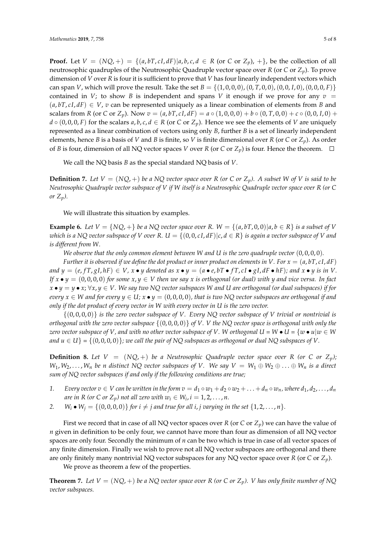**Proof.** Let  $V = (NQ, +) = \{(a, bT, cI, dF) | a, b, c, d \in R \text{ (or } C \text{ or } Z_p), +\}$ , be the collection of all neutrosophic quadruples of the Neutrosophic Quadruple vector space over *R* (or *C* or *Zp*). To prove dimension of *V* over *R* is four it is sufficient to prove that *V* has four linearly independent vectors which can span *V*, which will prove the result. Take the set  $B = \{(1, 0, 0, 0), (0, T, 0, 0), (0, 0, I, 0), (0, 0, 0, F)\}\$ contained in *V*; to show *B* is independent and spans *V* it enough if we prove for any  $v =$  $(a, bT, cI, dF) \in V$ , *v* can be represented uniquely as a linear combination of elements from *B* and scalars from *R* (or *C* or *Z*<sub>*p*</sub>). Now  $v = (a, bT, cI, dF) = a \circ (1, 0, 0, 0) + b \circ (0, T, 0, 0) + c \circ (0, 0, I, 0) + c$ *d* ◦  $(0, 0, 0, F)$  for the scalars *a*, *b*, *c*, *d* ∈ *R* (or *C* or *Z*<sub>*p*</sub>). Hence we see the elements of *V* are uniquely represented as a linear combination of vectors using only *B*, further *B* is a set of linearly independent elements, hence *B* is a basis of *V* and *B* is finite, so *V* is finite dimensional over *R* (or *C* or  $Z_p$ ). As order of *B* is four, dimension of all NQ vector spaces *V* over *R* (or *C* or  $Z_p$ ) is four. Hence the theorem.  $\Box$ 

We call the NQ basis *B* as the special standard NQ basis of *V*.

**Definition 7.** Let  $V = (NQ, +)$  be a NQ vector space over R (or C or  $Z_p$ ). A subset W of V is said to be *Neutrosophic Quadruple vector subspace of V if W itself is a Neutrosophic Quadruple vector space over R (or C or Zp).*

We will illustrate this situation by examples.

**Example 6.** Let  $V = \{NQ, +\}$  be a NQ vector space over R.  $W = \{(a, bT, 0, 0)|a, b \in R\}$  is a subset of V *which is a NQ vector subspace of V over R.*  $U = \{(0,0,cI,dF)|c,d \in R\}$  *is again a vector subspace of V and is different from W.*

*We observe that the only common element between W and U is the zero quadruple vector*  $(0,0,0,0)$ *.* 

*Further it is observed if we define the dot product or inner product on elements in V. For*  $x = (a, bT, cI, dF)$ and  $y = (e, f, gI, hF) \in V$ ,  $x \bullet y$  denoted as  $x \bullet y = (a \bullet e, bT \bullet fT, cI \bullet gI, dF \bullet hF)$ ; and  $x \bullet y$  is in V. *If*  $x \cdot y = (0,0,0,0)$  *for some*  $x, y \in V$  *then we say*  $x$  *is orthogonal (or dual) with y and vice versa. In fact*  $x \bullet y = y \bullet x$ ;  $\forall x, y \in V$ . We say two NQ vector subspaces *W* and *U* are orthogonal (or dual subspaces) if for *every*  $x \in W$  *and for every*  $y \in U$ ;  $x \bullet y = (0, 0, 0, 0)$ *, that is two NQ vector subspaces are orthogonal if and only if the dot product of every vector in W with every vector in U is the zero vector.*

{(0, 0, 0, 0)} *is the zero vector subspace of V. Every NQ vector subspace of V trivial or nontrivial is orthogonal with the zero vector subspace* {(0, 0, 0, 0)} *of V. V the NQ vector space is orthogonal with only the zero vector subspace of V*, and with no other vector subspace of *V*. *W* orthogonal  $U = W \cdot U = \{w \cdot u | w \in W\}$ *and*  $u \in U$ } = { $(0, 0, 0, 0)$ }*; we call the pair of NQ subspaces as orthogonal or dual NQ subspaces of V.* 

**Definition 8.** Let  $V = (NQ, +)$  be a Neutrosophic Quadruple vector space over R (or C or  $Z_p$ );  $W_1, W_2, \ldots, W_n$  be *n* distinct NQ vector subspaces of *V*. We say  $V = W_1 \oplus W_2 \oplus \ldots \oplus W_n$  is a direct *sum of NQ vector subspaces if and only if the following conditions are true;*

- 1. Every vector  $v \in V$  can be written in the form  $v = d_1 \circ w_1 + d_2 \circ w_2 + \ldots + d_n \circ w_n$ , where  $d_1, d_2, \ldots, d_n$ *are in* R (or C or  $Z_p$ ) not all zero with  $w_i \in W_i$ ,  $i = 1, 2, \ldots, n$ .
- 2.  $W_i \bullet W_j = \{(0,0,0,0)\}$  *for*  $i \neq j$  *and true for all i, j varying in the set*  $\{1,2,\ldots,n\}$ *.*

First we record that in case of all NQ vector spaces over *R* (or *C* or  $Z_p$ ) we can have the value of *n* given in definition to be only four, we cannot have more than four as dimension of all NQ vector spaces are only four. Secondly the minimum of *n* can be two which is true in case of all vector spaces of any finite dimension. Finally we wish to prove not all NQ vector subspaces are orthogonal and there are only finitely many nontrivial NQ vector subspaces for any NQ vector space over *R* (or *C* or *Zp*).

We prove as theorem a few of the properties.

**Theorem 7.** Let  $V = (NQ, +)$  be a NQ vector space over R (or C or  $Z_p$ ). *V* has only finite number of NQ *vector subspaces.*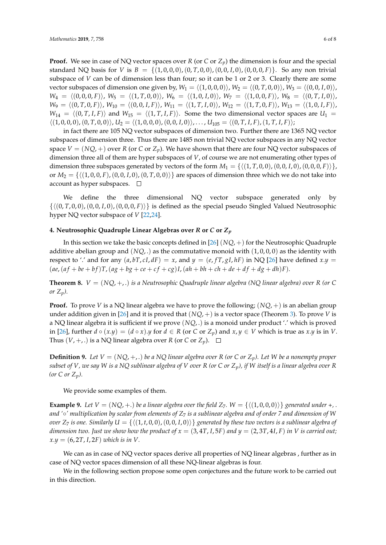**Proof.** We see in case of NQ vector spaces over *R* (or *C* or *Zp*) the dimension is four and the special standard NQ basis for *V* is  $B = \{(1, 0, 0, 0), (0, T, 0, 0), (0, 0, I, 0), (0, 0, 0, F)\}\.$  So any non trivial subspace of *V* can be of dimension less than four; so it can be 1 or 2 or 3. Clearly there are some vector subspaces of dimension one given by,  $W_1 = \langle (1, 0, 0, 0) \rangle$ ,  $W_2 = \langle (0, T, 0, 0) \rangle$ ,  $W_3 = \langle (0, 0, I, 0) \rangle$ ,  $W_4 = \langle (0, 0, 0, F) \rangle$ ,  $W_5 = \langle (1, T, 0, 0) \rangle$ ,  $W_6 = \langle (1, 0, I, 0) \rangle$ ,  $W_7 = \langle (1, 0, 0, F) \rangle$ ,  $W_8 = \langle (0, T, I, 0) \rangle$ ,  $W_9 = \langle (0, T, 0, F) \rangle$ ,  $W_{10} = \langle (0, 0, I, F) \rangle$ ,  $W_{11} = \langle (1, T, I, 0) \rangle$ ,  $W_{12} = \langle (1, T, 0, F) \rangle$ ,  $W_{13} = \langle (1, 0, I, F) \rangle$ ,  $W_{14} = \langle (0, T, I, F) \rangle$  and  $W_{15} = \langle (1, T, I, F) \rangle$ . Some the two dimensional vector spaces are  $U_1 =$  $\langle (1, 0, 0, 0), (0, T, 0, 0) \rangle$ ,  $U_2 = \langle (1, 0, 0, 0), (0, 0, I, 0) \rangle$ , ...,  $U_{105} = \langle (0, T, I, F), (1, T, I, F) \rangle$ ;

in fact there are 105 NQ vector subspaces of dimension two. Further there are 1365 NQ vector subspaces of dimension three. Thus there are 1485 non trivial NQ vector subspaces in any NQ vector space  $V = (NQ, +)$  over *R* (or *C* or *Z*<sub>*p*</sub>). We have shown that there are four NQ vector subspaces of dimension three all of them are hyper subspaces of *V*, of course we are not enumerating other types of dimension three subspaces generated by vectors of the form  $M_1 = \{ \langle (1, T, 0, 0), (0, 0, I, 0), (0, 0, 0, F) \rangle \}$ , or  $M_2 = \{ \langle (1, 0, 0, F), (0, 0, I, 0), (0, T, 0, 0) \rangle \}$  are spaces of dimension three which we do not take into account as hyper subspaces.  $\Box$ 

We define the three dimensional NQ vector subspace generated only by  $\{\langle (0, T, 0, 0), (0, 0, I, 0), (0, 0, 0, F) \rangle\}$  is defined as the special pseudo Singled Valued Neutrosophic hyper NQ vector subspace of *V* [\[22](#page-7-3)[,24\]](#page-7-9).

## <span id="page-5-0"></span>**4. Neutrosophic Quadruple Linear Algebras over** *R* **or** *C* **or** *Z<sup>p</sup>*

In this section we take the basic concepts defined in [\[26\]](#page-7-5) (*NQ*, +) for the Neutrosophic Quadruple additive abelian group and  $(NQ, .)$  as the commutative monoid with  $(1, 0, 0, 0)$  as the identity with respect to '.' and for any  $(a, bT, cI, dF) = x$ , and  $y = (e, fT, gI, hF)$  in NQ [\[26\]](#page-7-5) have defined  $x.y =$  $(ae, (af + be + bf)T$ ,  $(ag + bg + ce + cf + cg)I$ ,  $(ah + bh + ch + de + df + dg + dh)F$ .

**Theorem 8.**  $V = (NQ, +, .)$  *is a Neutrosophic Quadruple linear algebra (NQ linear algebra) over*  $R$  (or  $C$ *or Zp).*

**Proof.** To prove *V* is a NQ linear algebra we have to prove the following;  $(NQ, +)$  is an abelian group under addition given in [\[26\]](#page-7-5) and it is proved that  $(NQ, +)$  is a vector space (Theorem [3\)](#page-2-1). To prove *V* is a NQ linear algebra it is sufficient if we prove (*NQ*, .) is a monoid under product '.' which is proved in [\[26\]](#page-7-5), further  $d \circ (x,y) = (d \circ x) \cdot y$  for  $d \in R$  (or C or  $Z_p$ ) and  $x, y \in V$  which is true as  $x, y$  is in *V*. Thus  $(V, +, .)$  is a NQ linear algebra over *R* (or *C* or  $Z_p$ ).  $\Box$ 

**Definition 9.** Let  $V = (NQ, +, .)$  be a NQ linear algebra over R (or C or  $Z_p$ ). Let W be a nonempty proper *subset of V, we say W is a NQ sublinear algebra of V over R (or C or Zp), if W itself is a linear algebra over R (or C or Zp).*

#### We provide some examples of them.

**Example 9.** Let  $V = (NQ, +.)$  be a linear algebra over the field  $Z_7$ .  $W = \{(1, 0, 0, 0)\}$  *generated under +, . and '*◦*' multiplication by scalar from elements of Z*<sup>7</sup> *is a sublinear algebra and of order 7 and dimension of W over*  $Z_7$  *is one. Similarly*  $U = \{((1, t, 0, 0), (0, 0, 1, 0))\}$  generated by these two vectors is a sublinear algebra of *dimension two. Just we show how the product of*  $x = (3, 4T, I, 5F)$  *and*  $y = (2, 3T, 4I, F)$  *in V is carried out*;  $x.y = (6, 2T, I, 2F)$  *which is in V.* 

We can as in case of NQ vector spaces derive all properties of NQ linear algebras, further as in case of NQ vector spaces dimension of all these NQ-linear algebras is four.

We in the following section propose some open conjectures and the future work to be carried out in this direction.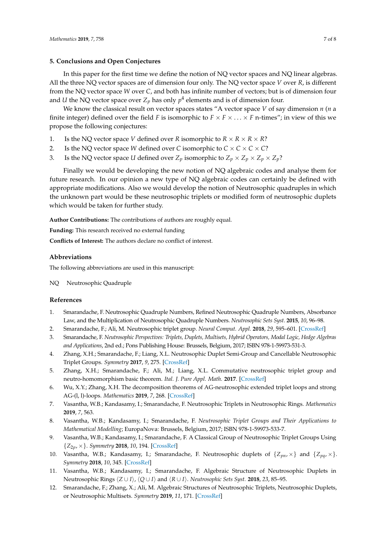### **5. Conclusions and Open Conjectures**

In this paper for the first time we define the notion of NQ vector spaces and NQ linear algebras. All the three NQ vector spaces are of dimension four only. The NQ vector space *V* over *R*, is different from the NQ vector space *W* over *C*, and both has infinite number of vectors; but is of dimension four and *U* the NQ vector space over  $Z_p$  has only  $p^4$  elements and is of dimension four.

We know the classical result on vector spaces states "A vector space *V* of say dimension *n* (*n* a finite integer) defined over the field *F* is isomorphic to  $F \times F \times \ldots \times F$  n-times"; in view of this we propose the following conjectures:

- 1. Is the NQ vector space *V* defined over *R* isomorphic to  $R \times R \times R \times R$ ?
- 2. Is the NQ vector space *W* defined over *C* isomorphic to  $C \times C \times C \times C$ ?
- 3. Is the NQ vector space *U* defined over  $Z_p$  isomorphic to  $Z_p \times Z_p \times Z_p \times Z_p$ ?

Finally we would be developing the new notion of NQ algebraic codes and analyse them for future research. In our opinion a new type of NQ algebraic codes can certainly be defined with appropriate modifications. Also we would develop the notion of Neutrosophic quadruples in which the unknown part would be these neutrosophic triplets or modified form of neutrosophic duplets which would be taken for further study.

**Author Contributions:** The contributions of authors are roughly equal.

**Funding:** This research received no external funding

**Conflicts of Interest:** The authors declare no conflict of interest.

#### **Abbreviations**

The following abbreviations are used in this manuscript:

NQ Neutrosophic Quadruple

#### **References**

- <span id="page-6-0"></span>1. Smarandache, F. Neutrosophic Quadruple Numbers, Refined Neutrosophic Quadruple Numbers, Absorbance Law, and the Multiplication of Neutrosophic Quadruple Numbers. *Neutrosophic Sets Syst.* **2015**, *10*, 96–98.
- <span id="page-6-1"></span>2. Smarandache, F.; Ali, M. Neutrosophic triplet group. *Neural Comput. Appl.* **2018**, *29*, 595–601. [\[CrossRef\]](http://dx.doi.org/10.1007/s00521-016-2535-x)
- <span id="page-6-2"></span>3. Smarandache, F. *Neutrosophic Perspectives: Triplets, Duplets, Multisets, Hybrid Operators, Modal Logic, Hedge Algebras and Applications*, 2nd ed.; Pons Publishing House: Brussels, Belgium, 2017; ISBN 978-1-59973-531-3.
- <span id="page-6-3"></span>4. Zhang, X.H.; Smarandache, F.; Liang, X.L. Neutrosophic Duplet Semi-Group and Cancellable Neutrosophic Triplet Groups. *Symmetry* **2017**, *9*, 275. [\[CrossRef\]](http://dx.doi.org/10.3390/sym9110275)
- 5. Zhang, X.H.; Smarandache, F.; Ali, M.; Liang, X.L. Commutative neutrosophic triplet group and neutro-homomorphism basic theorem. *Ital. J. Pure Appl. Math.* **2017**. [\[CrossRef\]](http://dx.doi.org/10.5281/zenodo.2838452)
- <span id="page-6-4"></span>6. Wu, X.Y.; Zhang, X.H. The decomposition theorems of AG-neutrosophic extended triplet loops and strong AG-(l, l)-loops. *Mathematics* **2019**, *7*, 268. [\[CrossRef\]](http://dx.doi.org/10.3390/math7030268)
- <span id="page-6-5"></span>7. Vasantha, W.B.; Kandasamy, I.; Smarandache, F. Neutrosophic Triplets in Neutrosophic Rings. *Mathematics* **2019**, *7*, 563.
- 8. Vasantha, W.B.; Kandasamy, I.; Smarandache, F. *Neutrosophic Triplet Groups and Their Applications to Mathematical Modelling*; EuropaNova: Brussels, Belgium, 2017; ISBN 978-1-59973-533-7.
- 9. Vasantha, W.B.; Kandasamy, I.; Smarandache, F. A Classical Group of Neutrosophic Triplet Groups Using {*Z*2*p*, ×}. *Symmetry* **2018**, *10*, 194. [\[CrossRef\]](http://dx.doi.org/10.3390/sym10060194)
- 10. Vasantha, W.B.; Kandasamy, I.; Smarandache, F. Neutrosophic duplets of  $\{Z_{pn}, \times\}$  and  $\{Z_{pq}, \times\}$ . *Symmetry* **2018**, *10*, 345. [\[CrossRef\]](http://dx.doi.org/10.3390/sym10080345)
- <span id="page-6-6"></span>11. Vasantha, W.B.; Kandasamy, I.; Smarandache, F. Algebraic Structure of Neutrosophic Duplets in Neutrosophic Rings  $\langle Z \cup I \rangle$ ,  $\langle Q \cup I \rangle$  and  $\langle R \cup I \rangle$ . *Neutrosophic Sets Syst.* **2018**, *23*, 85–95.
- <span id="page-6-7"></span>12. Smarandache, F.; Zhang, X.; Ali, M. Algebraic Structures of Neutrosophic Triplets, Neutrosophic Duplets, or Neutrosophic Multisets. *Symmetry* **2019**, *11*, 171. [\[CrossRef\]](http://dx.doi.org/10.3390/sym11020171)